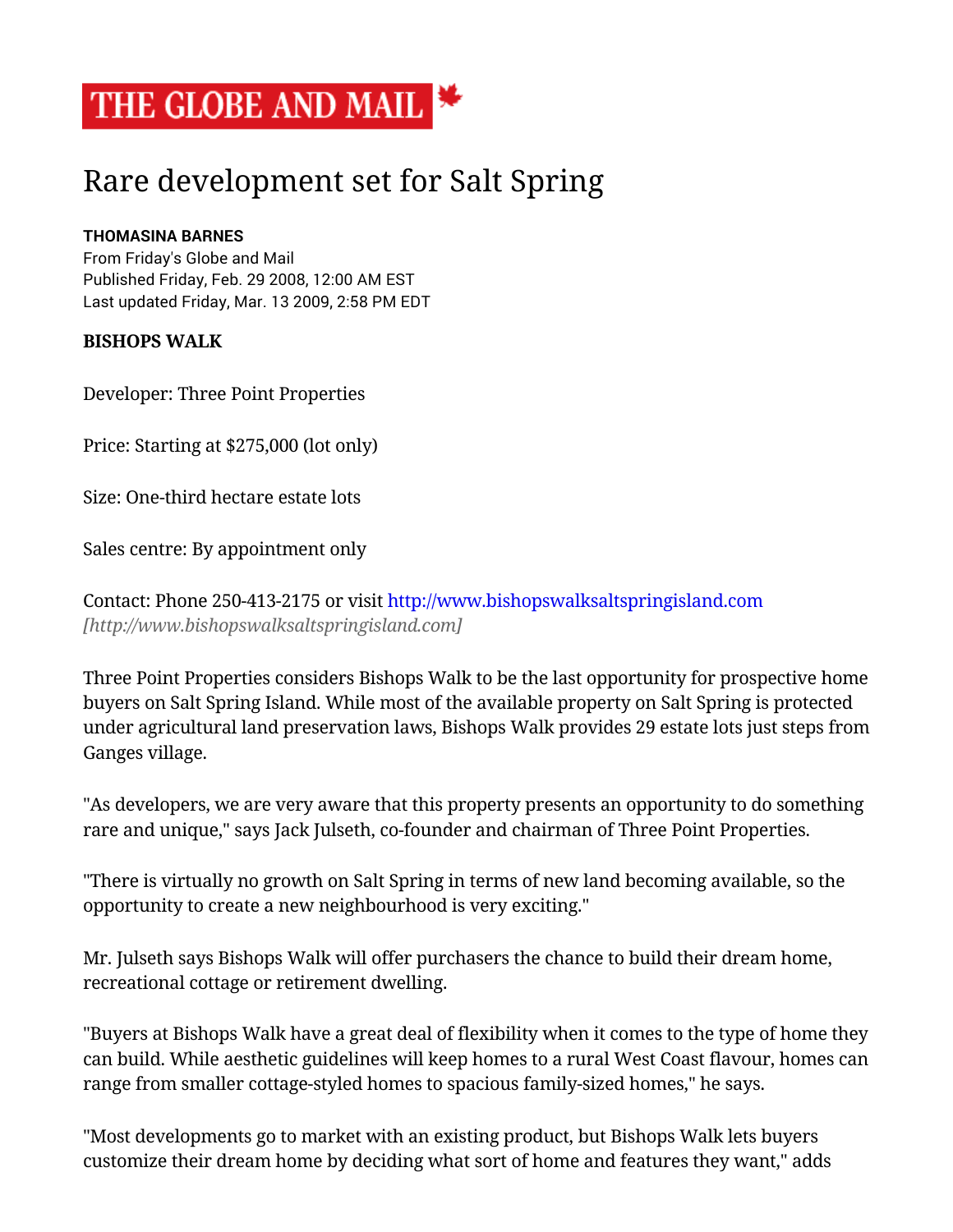

## Rare development set for Salt Spring

## **THOMASINA BARNES**

From Friday's Globe and Mail Published Friday, Feb. 29 2008, 12:00 AM EST Last updated Friday, Mar. 13 2009, 2:58 PM EDT

## **BISHOPS WALK**

Developer: Three Point Properties

Price: Starting at \$275,000 (lot only)

Size: One-third hectare estate lots

Sales centre: By appointment only

Contact: Phone 250-413-2175 or visit http://www.bishopswalksaltspringisland.com *[\[http://www.bishopswalksaltspringisland.com\]](http://www.bishopswalksaltspringisland.com/)*

Three Point Properties considers Bishops Walk to be the last opportunity for prospective home buyers on Salt Spring Island. While most of the available property on Salt Spring is protected under agricultural land preservation laws, Bishops Walk provides 29 estate lots just steps from Ganges village.

"As developers, we are very aware that this property presents an opportunity to do something rare and unique," says Jack Julseth, co-founder and chairman of Three Point Properties.

"There is virtually no growth on Salt Spring in terms of new land becoming available, so the opportunity to create a new neighbourhood is very exciting."

Mr. Julseth says Bishops Walk will offer purchasers the chance to build their dream home, recreational cottage or retirement dwelling.

"Buyers at Bishops Walk have a great deal of flexibility when it comes to the type of home they can build. While aesthetic guidelines will keep homes to a rural West Coast flavour, homes can range from smaller cottage-styled homes to spacious family-sized homes," he says.

"Most developments go to market with an existing product, but Bishops Walk lets buyers customize their dream home by deciding what sort of home and features they want," adds